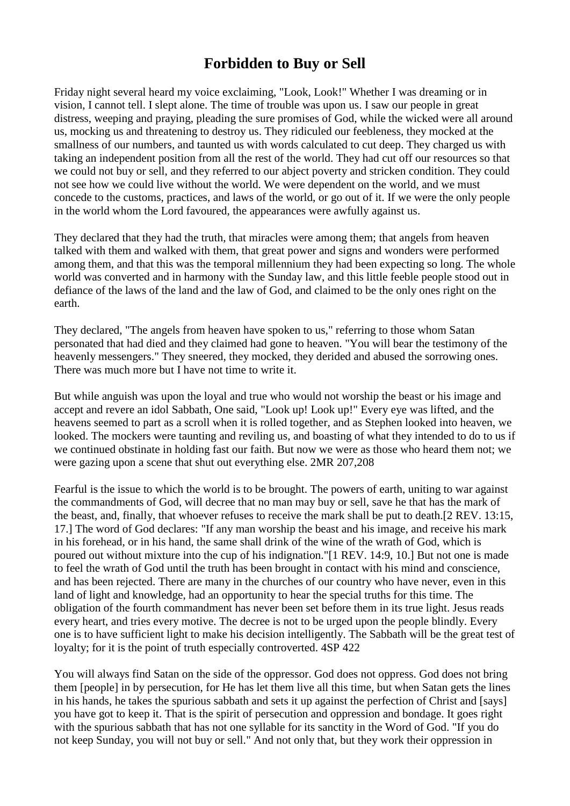## **Forbidden to Buy or Sell**

Friday night several heard my voice exclaiming, "Look, Look!" Whether I was dreaming or in vision, I cannot tell. I slept alone. The time of trouble was upon us. I saw our people in great distress, weeping and praying, pleading the sure promises of God, while the wicked were all around us, mocking us and threatening to destroy us. They ridiculed our feebleness, they mocked at the smallness of our numbers, and taunted us with words calculated to cut deep. They charged us with taking an independent position from all the rest of the world. They had cut off our resources so that we could not buy or sell, and they referred to our abject poverty and stricken condition. They could not see how we could live without the world. We were dependent on the world, and we must concede to the customs, practices, and laws of the world, or go out of it. If we were the only people in the world whom the Lord favoured, the appearances were awfully against us.

They declared that they had the truth, that miracles were among them; that angels from heaven talked with them and walked with them, that great power and signs and wonders were performed among them, and that this was the temporal millennium they had been expecting so long. The whole world was converted and in harmony with the Sunday law, and this little feeble people stood out in defiance of the laws of the land and the law of God, and claimed to be the only ones right on the earth.

They declared, "The angels from heaven have spoken to us," referring to those whom Satan personated that had died and they claimed had gone to heaven. "You will bear the testimony of the heavenly messengers." They sneered, they mocked, they derided and abused the sorrowing ones. There was much more but I have not time to write it.

But while anguish was upon the loyal and true who would not worship the beast or his image and accept and revere an idol Sabbath, One said, "Look up! Look up!" Every eye was lifted, and the heavens seemed to part as a scroll when it is rolled together, and as Stephen looked into heaven, we looked. The mockers were taunting and reviling us, and boasting of what they intended to do to us if we continued obstinate in holding fast our faith. But now we were as those who heard them not; we were gazing upon a scene that shut out everything else. 2MR 207,208

Fearful is the issue to which the world is to be brought. The powers of earth, uniting to war against the commandments of God, will decree that no man may buy or sell, save he that has the mark of the beast, and, finally, that whoever refuses to receive the mark shall be put to death.[2 REV. 13:15, 17.] The word of God declares: "If any man worship the beast and his image, and receive his mark in his forehead, or in his hand, the same shall drink of the wine of the wrath of God, which is poured out without mixture into the cup of his indignation."[1 REV. 14:9, 10.] But not one is made to feel the wrath of God until the truth has been brought in contact with his mind and conscience, and has been rejected. There are many in the churches of our country who have never, even in this land of light and knowledge, had an opportunity to hear the special truths for this time. The obligation of the fourth commandment has never been set before them in its true light. Jesus reads every heart, and tries every motive. The decree is not to be urged upon the people blindly. Every one is to have sufficient light to make his decision intelligently. The Sabbath will be the great test of loyalty; for it is the point of truth especially controverted. 4SP 422

You will always find Satan on the side of the oppressor. God does not oppress. God does not bring them [people] in by persecution, for He has let them live all this time, but when Satan gets the lines in his hands, he takes the spurious sabbath and sets it up against the perfection of Christ and [says] you have got to keep it. That is the spirit of persecution and oppression and bondage. It goes right with the spurious sabbath that has not one syllable for its sanctity in the Word of God. "If you do not keep Sunday, you will not buy or sell." And not only that, but they work their oppression in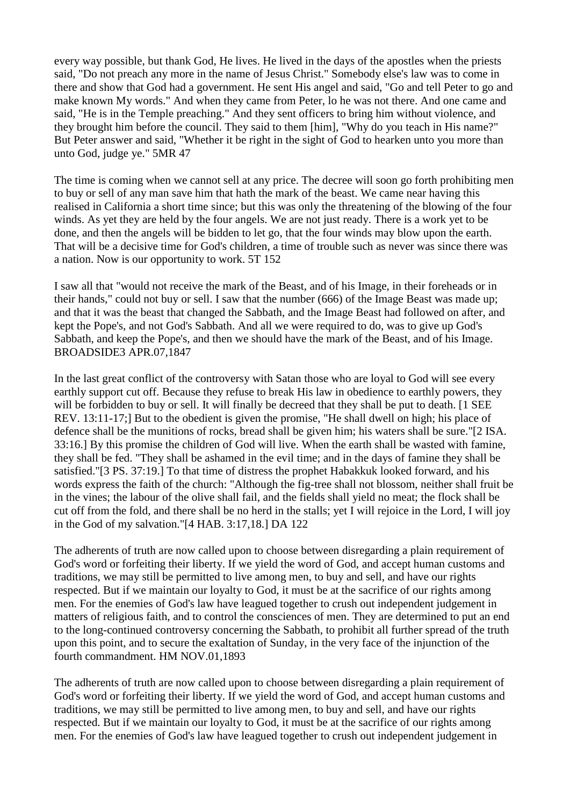every way possible, but thank God, He lives. He lived in the days of the apostles when the priests said, "Do not preach any more in the name of Jesus Christ." Somebody else's law was to come in there and show that God had a government. He sent His angel and said, "Go and tell Peter to go and make known My words." And when they came from Peter, lo he was not there. And one came and said, "He is in the Temple preaching." And they sent officers to bring him without violence, and they brought him before the council. They said to them [him], "Why do you teach in His name?" But Peter answer and said, "Whether it be right in the sight of God to hearken unto you more than unto God, judge ye." 5MR 47

The time is coming when we cannot sell at any price. The decree will soon go forth prohibiting men to buy or sell of any man save him that hath the mark of the beast. We came near having this realised in California a short time since; but this was only the threatening of the blowing of the four winds. As yet they are held by the four angels. We are not just ready. There is a work yet to be done, and then the angels will be bidden to let go, that the four winds may blow upon the earth. That will be a decisive time for God's children, a time of trouble such as never was since there was a nation. Now is our opportunity to work. 5T 152

I saw all that "would not receive the mark of the Beast, and of his Image, in their foreheads or in their hands," could not buy or sell. I saw that the number (666) of the Image Beast was made up; and that it was the beast that changed the Sabbath, and the Image Beast had followed on after, and kept the Pope's, and not God's Sabbath. And all we were required to do, was to give up God's Sabbath, and keep the Pope's, and then we should have the mark of the Beast, and of his Image. BROADSIDE3 APR.07,1847

In the last great conflict of the controversy with Satan those who are loyal to God will see every earthly support cut off. Because they refuse to break His law in obedience to earthly powers, they will be forbidden to buy or sell. It will finally be decreed that they shall be put to death. [1 SEE REV. 13:11-17;] But to the obedient is given the promise, "He shall dwell on high; his place of defence shall be the munitions of rocks, bread shall be given him; his waters shall be sure."[2 ISA. 33:16.] By this promise the children of God will live. When the earth shall be wasted with famine, they shall be fed. "They shall be ashamed in the evil time; and in the days of famine they shall be satisfied."[3 PS. 37:19.] To that time of distress the prophet Habakkuk looked forward, and his words express the faith of the church: "Although the fig-tree shall not blossom, neither shall fruit be in the vines; the labour of the olive shall fail, and the fields shall yield no meat; the flock shall be cut off from the fold, and there shall be no herd in the stalls; yet I will rejoice in the Lord, I will joy in the God of my salvation."[4 HAB. 3:17,18.] DA 122

The adherents of truth are now called upon to choose between disregarding a plain requirement of God's word or forfeiting their liberty. If we yield the word of God, and accept human customs and traditions, we may still be permitted to live among men, to buy and sell, and have our rights respected. But if we maintain our loyalty to God, it must be at the sacrifice of our rights among men. For the enemies of God's law have leagued together to crush out independent judgement in matters of religious faith, and to control the consciences of men. They are determined to put an end to the long-continued controversy concerning the Sabbath, to prohibit all further spread of the truth upon this point, and to secure the exaltation of Sunday, in the very face of the injunction of the fourth commandment. HM NOV.01,1893

The adherents of truth are now called upon to choose between disregarding a plain requirement of God's word or forfeiting their liberty. If we yield the word of God, and accept human customs and traditions, we may still be permitted to live among men, to buy and sell, and have our rights respected. But if we maintain our loyalty to God, it must be at the sacrifice of our rights among men. For the enemies of God's law have leagued together to crush out independent judgement in